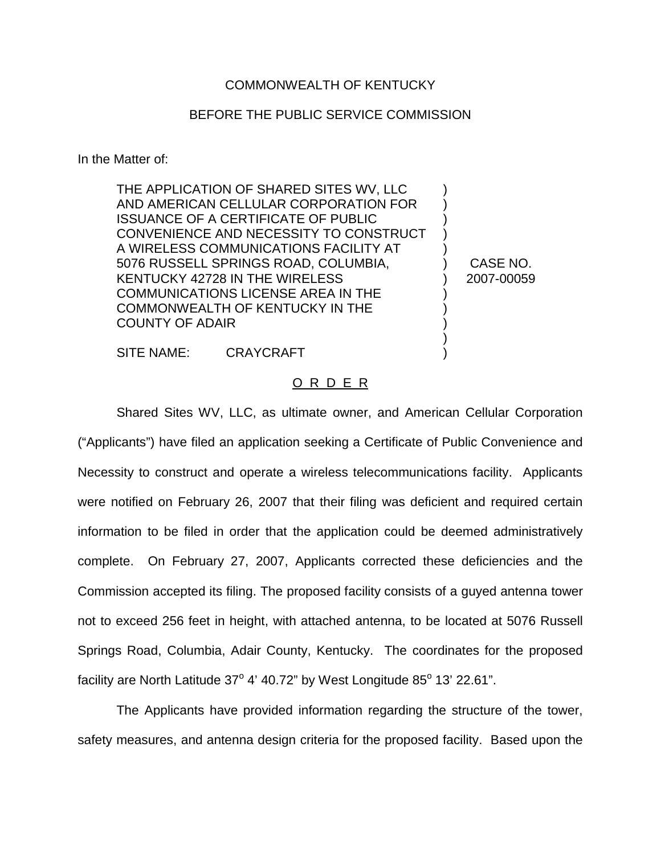## COMMONWEALTH OF KENTUCKY

## BEFORE THE PUBLIC SERVICE COMMISSION

In the Matter of:

THE APPLICATION OF SHARED SITES WV, LLC AND AMERICAN CELLULAR CORPORATION FOR ISSUANCE OF A CERTIFICATE OF PUBLIC CONVENIENCE AND NECESSITY TO CONSTRUCT A WIRELESS COMMUNICATIONS FACILITY AT 5076 RUSSELL SPRINGS ROAD, COLUMBIA, KENTUCKY 42728 IN THE WIRELESS COMMUNICATIONS LICENSE AREA IN THE COMMONWEALTH OF KENTUCKY IN THE COUNTY OF ADAIR

CASE NO. 2007-00059

) ) ) ) ) ) ) ) ) ) ) )

SITE NAME: CRAYCRAFT

## O R D E R

Shared Sites WV, LLC, as ultimate owner, and American Cellular Corporation ("Applicants") have filed an application seeking a Certificate of Public Convenience and Necessity to construct and operate a wireless telecommunications facility. Applicants were notified on February 26, 2007 that their filing was deficient and required certain information to be filed in order that the application could be deemed administratively complete. On February 27, 2007, Applicants corrected these deficiencies and the Commission accepted its filing. The proposed facility consists of a guyed antenna tower not to exceed 256 feet in height, with attached antenna, to be located at 5076 Russell Springs Road, Columbia, Adair County, Kentucky. The coordinates for the proposed facility are North Latitude  $37^{\circ}$  4' 40.72" by West Longitude  $85^{\circ}$  13' 22.61".

The Applicants have provided information regarding the structure of the tower, safety measures, and antenna design criteria for the proposed facility. Based upon the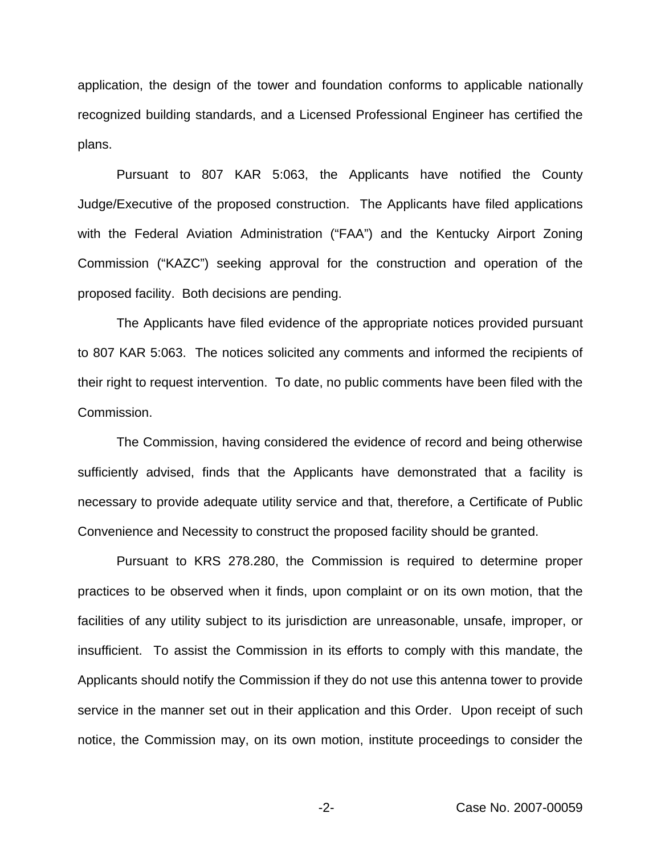application, the design of the tower and foundation conforms to applicable nationally recognized building standards, and a Licensed Professional Engineer has certified the plans.

Pursuant to 807 KAR 5:063, the Applicants have notified the County Judge/Executive of the proposed construction. The Applicants have filed applications with the Federal Aviation Administration ("FAA") and the Kentucky Airport Zoning Commission ("KAZC") seeking approval for the construction and operation of the proposed facility. Both decisions are pending.

The Applicants have filed evidence of the appropriate notices provided pursuant to 807 KAR 5:063. The notices solicited any comments and informed the recipients of their right to request intervention. To date, no public comments have been filed with the Commission.

The Commission, having considered the evidence of record and being otherwise sufficiently advised, finds that the Applicants have demonstrated that a facility is necessary to provide adequate utility service and that, therefore, a Certificate of Public Convenience and Necessity to construct the proposed facility should be granted.

Pursuant to KRS 278.280, the Commission is required to determine proper practices to be observed when it finds, upon complaint or on its own motion, that the facilities of any utility subject to its jurisdiction are unreasonable, unsafe, improper, or insufficient. To assist the Commission in its efforts to comply with this mandate, the Applicants should notify the Commission if they do not use this antenna tower to provide service in the manner set out in their application and this Order. Upon receipt of such notice, the Commission may, on its own motion, institute proceedings to consider the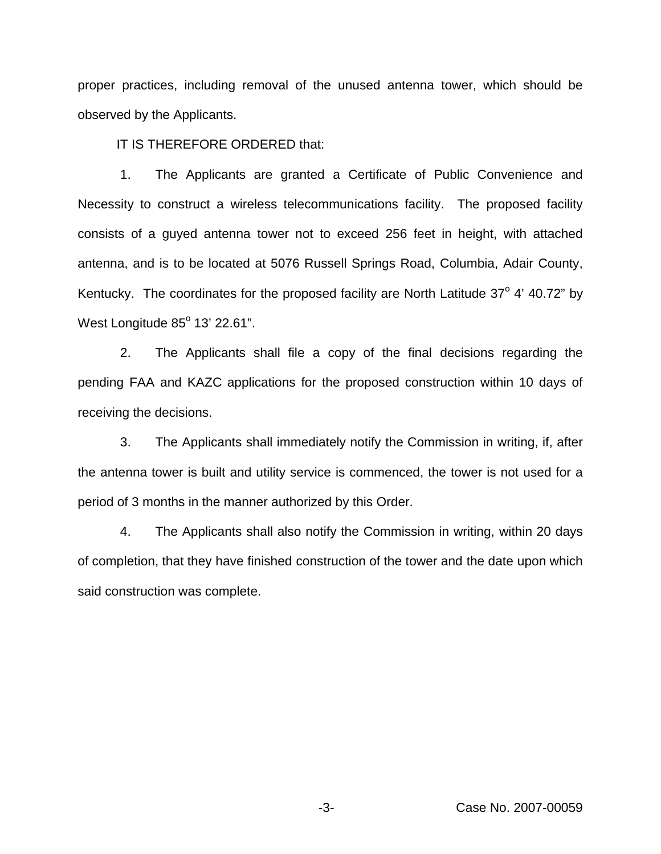proper practices, including removal of the unused antenna tower, which should be observed by the Applicants.

IT IS THEREFORE ORDERED that:

1. The Applicants are granted a Certificate of Public Convenience and Necessity to construct a wireless telecommunications facility. The proposed facility consists of a guyed antenna tower not to exceed 256 feet in height, with attached antenna, and is to be located at 5076 Russell Springs Road, Columbia, Adair County, Kentucky. The coordinates for the proposed facility are North Latitude  $37^{\circ}$  4' 40.72" by West Longitude  $85^\circ$  13' 22.61".

2. The Applicants shall file a copy of the final decisions regarding the pending FAA and KAZC applications for the proposed construction within 10 days of receiving the decisions.

3. The Applicants shall immediately notify the Commission in writing, if, after the antenna tower is built and utility service is commenced, the tower is not used for a period of 3 months in the manner authorized by this Order.

4. The Applicants shall also notify the Commission in writing, within 20 days of completion, that they have finished construction of the tower and the date upon which said construction was complete.